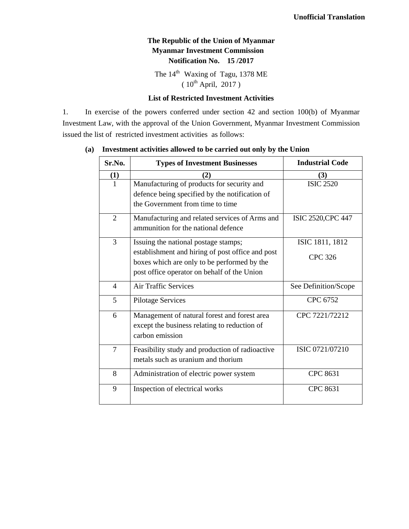## **The Republic of the Union of Myanmar Myanmar Investment Commission Notification No. 15 /2017**

The 14<sup>th</sup> Waxing of Tagu, 1378 ME  $(10^{th}$  April, 2017)

#### **List of Restricted Investment Activities**

1. In exercise of the powers conferred under section 42 and section 100(b) of Myanmar Investment Law, with the approval of the Union Government, Myanmar Investment Commission issued the list of restricted investment activities as follows:

| Sr.No.         | <b>Types of Investment Businesses</b>                                                                                            | <b>Industrial Code</b> |
|----------------|----------------------------------------------------------------------------------------------------------------------------------|------------------------|
| $\bf(1)$       | (2)                                                                                                                              | (3)                    |
| 1              | Manufacturing of products for security and<br>defence being specified by the notification of<br>the Government from time to time | <b>ISIC 2520</b>       |
| $\overline{2}$ | Manufacturing and related services of Arms and<br>ammunition for the national defence                                            | ISIC 2520, CPC 447     |
| 3              | Issuing the national postage stamps;                                                                                             | ISIC 1811, 1812        |
|                | establishment and hiring of post office and post<br>boxes which are only to be performed by the                                  | <b>CPC 326</b>         |
|                | post office operator on behalf of the Union                                                                                      |                        |
| $\overline{4}$ | <b>Air Traffic Services</b>                                                                                                      | See Definition/Scope   |
| 5              | <b>Pilotage Services</b>                                                                                                         | CPC 6752               |
| 6              | Management of natural forest and forest area<br>except the business relating to reduction of<br>carbon emission                  | CPC 7221/72212         |
| 7              | Feasibility study and production of radioactive<br>metals such as uranium and thorium                                            | ISIC 0721/07210        |
| 8              | Administration of electric power system                                                                                          | <b>CPC 8631</b>        |
| 9              | Inspection of electrical works                                                                                                   | <b>CPC 8631</b>        |

#### **(a) Investment activities allowed to be carried out only by the Union**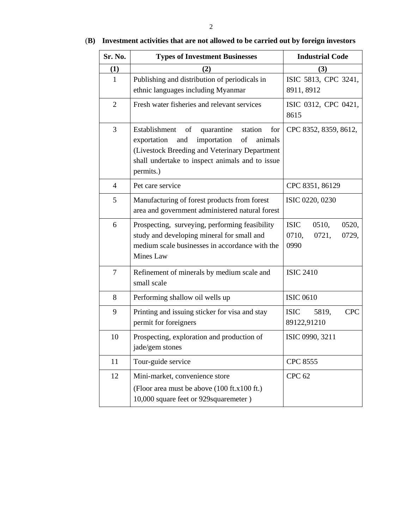| Sr. No.        | <b>Types of Investment Businesses</b>                                                                                                                                                                                      | <b>Industrial Code</b>                                           |  |
|----------------|----------------------------------------------------------------------------------------------------------------------------------------------------------------------------------------------------------------------------|------------------------------------------------------------------|--|
| (1)            | (2)                                                                                                                                                                                                                        | (3)                                                              |  |
| 1              | Publishing and distribution of periodicals in<br>ethnic languages including Myanmar                                                                                                                                        | ISIC 5813, CPC 3241,<br>8911, 8912                               |  |
| $\overline{2}$ | Fresh water fisheries and relevant services                                                                                                                                                                                | ISIC 0312, CPC 0421,<br>8615                                     |  |
| 3              | of<br>quarantine<br>Establishment<br>station<br>for<br>exportation<br>importation<br>of<br>animals<br>and<br>(Livestock Breeding and Veterinary Department<br>shall undertake to inspect animals and to issue<br>permits.) | CPC 8352, 8359, 8612,                                            |  |
| $\overline{4}$ | Pet care service                                                                                                                                                                                                           | CPC 8351, 86129                                                  |  |
| 5              | Manufacturing of forest products from forest<br>area and government administered natural forest                                                                                                                            | ISIC 0220, 0230                                                  |  |
| 6              | Prospecting, surveying, performing feasibility<br>study and developing mineral for small and<br>medium scale businesses in accordance with the<br>Mines Law                                                                | <b>ISIC</b><br>0510,<br>0520,<br>0710,<br>0721,<br>0729,<br>0990 |  |
| 7              | Refinement of minerals by medium scale and<br>small scale                                                                                                                                                                  | <b>ISIC 2410</b>                                                 |  |
| 8              | Performing shallow oil wells up                                                                                                                                                                                            | <b>ISIC 0610</b>                                                 |  |
| 9              | Printing and issuing sticker for visa and stay<br>permit for foreigners                                                                                                                                                    | <b>CPC</b><br><b>ISIC</b><br>5819,<br>89122,91210                |  |
| 10             | Prospecting, exploration and production of<br>jade/gem stones                                                                                                                                                              | ISIC 0990, 3211                                                  |  |
| 11             | Tour-guide service                                                                                                                                                                                                         | <b>CPC 8555</b>                                                  |  |
| 12             | Mini-market, convenience store<br>(Floor area must be above (100 ft.x100 ft.)<br>10,000 square feet or 929 squaremeter)                                                                                                    | <b>CPC 62</b>                                                    |  |

# (**B) Investment activities that are not allowed to be carried out by foreign investors**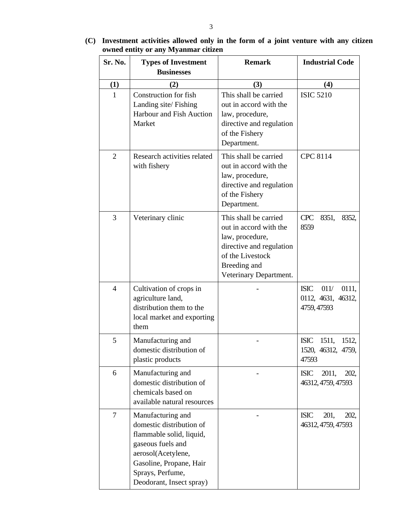| Sr. No.        | owned entity of any biyanmar chizen<br><b>Types of Investment</b><br><b>Businesses</b>                                                                                                          | <b>Remark</b>                                                                                                                                                | <b>Industrial Code</b>                                            |
|----------------|-------------------------------------------------------------------------------------------------------------------------------------------------------------------------------------------------|--------------------------------------------------------------------------------------------------------------------------------------------------------------|-------------------------------------------------------------------|
| (1)            | (2)                                                                                                                                                                                             | (3)                                                                                                                                                          | (4)                                                               |
| 1              | Construction for fish<br>Landing site/Fishing<br>Harbour and Fish Auction<br>Market                                                                                                             | This shall be carried<br>out in accord with the<br>law, procedure,<br>directive and regulation<br>of the Fishery<br>Department.                              | <b>ISIC 5210</b>                                                  |
| 2              | Research activities related<br>with fishery                                                                                                                                                     | This shall be carried<br>out in accord with the<br>law, procedure,<br>directive and regulation<br>of the Fishery<br>Department.                              | <b>CPC 8114</b>                                                   |
| 3              | Veterinary clinic                                                                                                                                                                               | This shall be carried<br>out in accord with the<br>law, procedure,<br>directive and regulation<br>of the Livestock<br>Breeding and<br>Veterinary Department. | <b>CPC</b><br>8351,<br>8352,<br>8559                              |
| $\overline{4}$ | Cultivation of crops in<br>agriculture land,<br>distribution them to the<br>local market and exporting<br>them                                                                                  |                                                                                                                                                              | <b>ISIC</b><br>011/<br>0111,<br>0112, 4631, 46312,<br>4759, 47593 |
| 5              | Manufacturing and<br>domestic distribution of<br>plastic products                                                                                                                               |                                                                                                                                                              | <b>ISIC</b><br>1511,<br>1512,<br>1520, 46312, 4759,<br>47593      |
| 6              | Manufacturing and<br>domestic distribution of<br>chemicals based on<br>available natural resources                                                                                              |                                                                                                                                                              | 2011,<br><b>ISIC</b><br>202,<br>46312, 4759, 47593                |
| 7              | Manufacturing and<br>domestic distribution of<br>flammable solid, liquid,<br>gaseous fuels and<br>aerosol(Acetylene,<br>Gasoline, Propane, Hair<br>Sprays, Perfume,<br>Deodorant, Insect spray) |                                                                                                                                                              | <b>ISIC</b><br>201,<br>202,<br>46312, 4759, 47593                 |

**(C) Investment activities allowed only in the form of a joint venture with any citizen owned entity or any Myanmar citizen**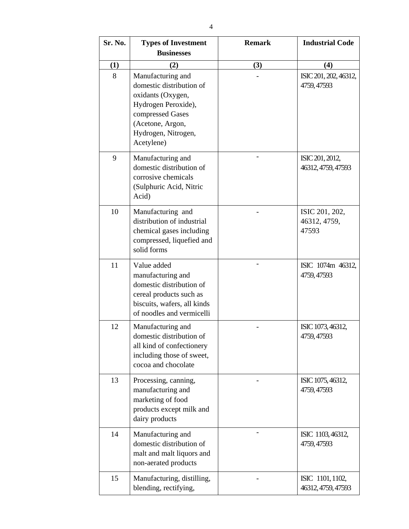| Sr. No. | <b>Types of Investment</b>                                                                                                                                             | <b>Remark</b> | <b>Industrial Code</b>                  |
|---------|------------------------------------------------------------------------------------------------------------------------------------------------------------------------|---------------|-----------------------------------------|
|         | <b>Businesses</b>                                                                                                                                                      |               |                                         |
| (1)     | (2)                                                                                                                                                                    | (3)           | (4)                                     |
| 8       | Manufacturing and<br>domestic distribution of<br>oxidants (Oxygen,<br>Hydrogen Peroxide),<br>compressed Gases<br>(Acetone, Argon,<br>Hydrogen, Nitrogen,<br>Acetylene) |               | ISIC 201, 202, 46312,<br>4759, 47593    |
| 9       | Manufacturing and<br>domestic distribution of<br>corrosive chemicals<br>(Sulphuric Acid, Nitric<br>Acid)                                                               |               | ISIC 201, 2012,<br>46312, 4759, 47593   |
| 10      | Manufacturing and<br>distribution of industrial<br>chemical gases including<br>compressed, liquefied and<br>solid forms                                                |               | ISIC 201, 202,<br>46312, 4759,<br>47593 |
| 11      | Value added<br>manufacturing and<br>domestic distribution of<br>cereal products such as<br>biscuits, wafers, all kinds<br>of noodles and vermicelli                    |               | ISIC 1074m 46312,<br>4759, 47593        |
| 12      | Manufacturing and<br>domestic distribution of<br>all kind of confectionery<br>including those of sweet,<br>cocoa and chocolate                                         |               | ISIC 1073, 46312,<br>4759, 47593        |
| 13      | Processing, canning,<br>manufacturing and<br>marketing of food<br>products except milk and<br>dairy products                                                           |               | ISIC 1075, 46312,<br>4759, 47593        |
| 14      | Manufacturing and<br>domestic distribution of<br>malt and malt liquors and<br>non-aerated products                                                                     |               | ISIC 1103, 46312,<br>4759, 47593        |
| 15      | Manufacturing, distilling,<br>blending, rectifying,                                                                                                                    |               | ISIC 1101, 1102,<br>46312, 4759, 47593  |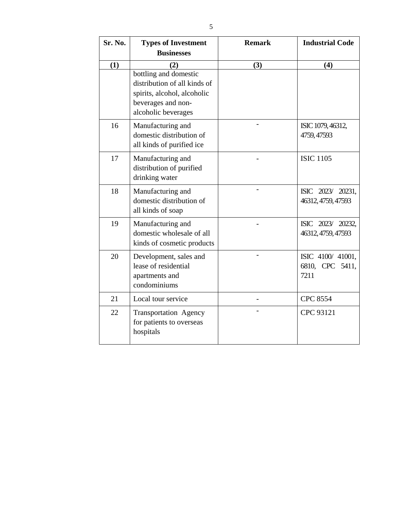| Sr. No. | <b>Types of Investment</b><br><b>Businesses</b>                                                                                   | <b>Remark</b> | <b>Industrial Code</b>                      |
|---------|-----------------------------------------------------------------------------------------------------------------------------------|---------------|---------------------------------------------|
| (1)     | (2)                                                                                                                               | (3)           | (4)                                         |
|         | bottling and domestic<br>distribution of all kinds of<br>spirits, alcohol, alcoholic<br>beverages and non-<br>alcoholic beverages |               |                                             |
| 16      | Manufacturing and<br>domestic distribution of<br>all kinds of purified ice                                                        |               | ISIC 1079, 46312,<br>4759, 47593            |
| 17      | Manufacturing and<br>distribution of purified<br>drinking water                                                                   |               | <b>ISIC 1105</b>                            |
| 18      | Manufacturing and<br>domestic distribution of<br>all kinds of soap                                                                |               | ISIC 2023/ 20231,<br>46312, 4759, 47593     |
| 19      | Manufacturing and<br>domestic wholesale of all<br>kinds of cosmetic products                                                      |               | ISIC 2023/ 20232,<br>46312, 4759, 47593     |
| 20      | Development, sales and<br>lease of residential<br>apartments and<br>condominiums                                                  |               | ISIC 4100/41001,<br>6810, CPC 5411,<br>7211 |

21 Local tour service **CPC 8554** 

- CPC 93121

22 Transportation Agency

hospitals

for patients to overseas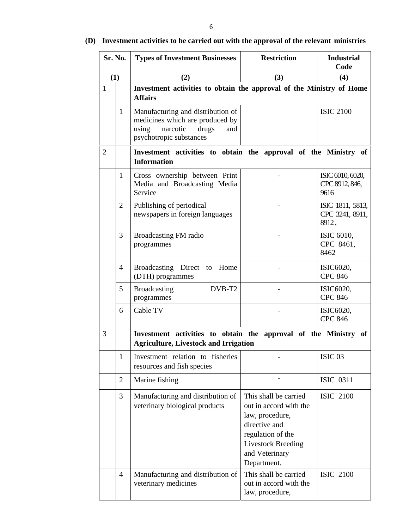| Sr. No.        |                | <b>Types of Investment Businesses</b>                                                                                                | <b>Restriction</b>                                                                                                                                                     | <b>Industrial</b><br>Code                    |
|----------------|----------------|--------------------------------------------------------------------------------------------------------------------------------------|------------------------------------------------------------------------------------------------------------------------------------------------------------------------|----------------------------------------------|
| (1)            |                | (2)                                                                                                                                  | (3)                                                                                                                                                                    | (4)                                          |
| $\mathbf{1}$   |                | Investment activities to obtain the approval of the Ministry of Home<br><b>Affairs</b>                                               |                                                                                                                                                                        |                                              |
|                | $\mathbf{1}$   | Manufacturing and distribution of<br>medicines which are produced by<br>using<br>narcotic<br>drugs<br>and<br>psychotropic substances |                                                                                                                                                                        | <b>ISIC 2100</b>                             |
| $\overline{2}$ |                | Investment activities to obtain the approval of the Ministry of<br><b>Information</b>                                                |                                                                                                                                                                        |                                              |
|                | 1              | Cross ownership between Print<br>Media and Broadcasting Media<br>Service                                                             |                                                                                                                                                                        | ISIC 6010, 6020,<br>CPC 8912, 846,<br>9616   |
|                | $\overline{2}$ | Publishing of periodical<br>newspapers in foreign languages                                                                          |                                                                                                                                                                        | ISIC 1811, 5813,<br>CPC 3241, 8911,<br>8912, |
|                | 3              | Broadcasting FM radio<br>programmes                                                                                                  |                                                                                                                                                                        | ISIC 6010,<br>CPC 8461,<br>8462              |
|                | 4              | Broadcasting Direct to Home<br>(DTH) programmes                                                                                      |                                                                                                                                                                        | ISIC6020,<br><b>CPC 846</b>                  |
|                | 5              | DVB-T2<br><b>Broadcasting</b><br>programmes                                                                                          |                                                                                                                                                                        | ISIC6020,<br><b>CPC 846</b>                  |
|                | 6              | Cable TV                                                                                                                             |                                                                                                                                                                        | ISIC6020,<br><b>CPC 846</b>                  |
| 3              |                | Investment activities to obtain the approval of the Ministry of<br><b>Agriculture, Livestock and Irrigation</b>                      |                                                                                                                                                                        |                                              |
|                | $\mathbf{1}$   | Investment relation to fisheries<br>resources and fish species                                                                       |                                                                                                                                                                        | ISIC <sub>03</sub>                           |
|                | $\overline{2}$ | Marine fishing                                                                                                                       |                                                                                                                                                                        | <b>ISIC 0311</b>                             |
|                | 3              | Manufacturing and distribution of<br>veterinary biological products                                                                  | This shall be carried<br>out in accord with the<br>law, procedure,<br>directive and<br>regulation of the<br><b>Livestock Breeding</b><br>and Veterinary<br>Department. | <b>ISIC 2100</b>                             |
|                | $\overline{4}$ | Manufacturing and distribution of<br>veterinary medicines                                                                            | This shall be carried<br>out in accord with the<br>law, procedure,                                                                                                     | <b>ISIC 2100</b>                             |

# **(D) Investment activities to be carried out with the approval of the relevant ministries**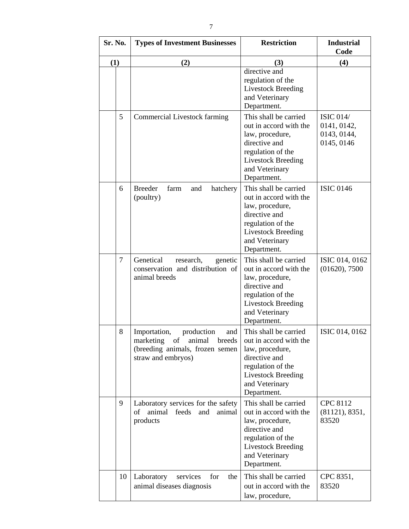| Sr. No. |    | <b>Types of Investment Businesses</b>                                                                                             | <b>Restriction</b>                                                                                                                                                     | <b>Industrial</b><br>Code                                    |
|---------|----|-----------------------------------------------------------------------------------------------------------------------------------|------------------------------------------------------------------------------------------------------------------------------------------------------------------------|--------------------------------------------------------------|
| (1)     |    | (2)                                                                                                                               | (3)                                                                                                                                                                    | (4)                                                          |
|         |    |                                                                                                                                   | directive and<br>regulation of the<br><b>Livestock Breeding</b><br>and Veterinary<br>Department.                                                                       |                                                              |
|         | 5  | <b>Commercial Livestock farming</b>                                                                                               | This shall be carried<br>out in accord with the<br>law, procedure,<br>directive and<br>regulation of the<br><b>Livestock Breeding</b><br>and Veterinary<br>Department. | <b>ISIC 014/</b><br>0141, 0142,<br>0143, 0144,<br>0145, 0146 |
|         | 6  | <b>Breeder</b><br>farm<br>hatchery<br>and<br>(poultry)                                                                            | This shall be carried<br>out in accord with the<br>law, procedure,<br>directive and<br>regulation of the<br><b>Livestock Breeding</b><br>and Veterinary<br>Department. | <b>ISIC 0146</b>                                             |
|         | 7  | Genetical<br>research,<br>genetic<br>conservation and distribution of<br>animal breeds                                            | This shall be carried<br>out in accord with the<br>law, procedure,<br>directive and<br>regulation of the<br><b>Livestock Breeding</b><br>and Veterinary<br>Department. | ISIC 014, 0162<br>(01620), 7500                              |
|         | 8  | Importation,<br>production<br>and<br>marketing<br>of<br>animal<br>breeds<br>(breeding animals, frozen semen<br>straw and embryos) | This shall be carried<br>out in accord with the<br>law, procedure,<br>directive and<br>regulation of the<br><b>Livestock Breeding</b><br>and Veterinary<br>Department. | ISIC 014, 0162                                               |
|         | 9  | Laboratory services for the safety<br>animal<br>of<br>feeds<br>and<br>animal<br>products                                          | This shall be carried<br>out in accord with the<br>law, procedure,<br>directive and<br>regulation of the<br><b>Livestock Breeding</b><br>and Veterinary<br>Department. | <b>CPC 8112</b><br>(81121), 8351,<br>83520                   |
|         | 10 | Laboratory<br>for<br>the<br>services<br>animal diseases diagnosis                                                                 | This shall be carried<br>out in accord with the<br>law, procedure,                                                                                                     | CPC 8351,<br>83520                                           |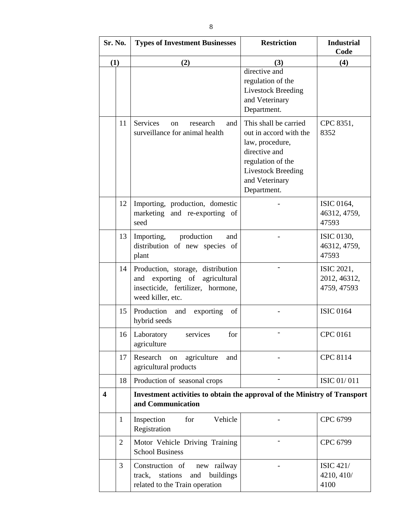| Sr. No.                 |                | <b>Types of Investment Businesses</b>                                                                                        | <b>Restriction</b>                                                                                                                                                     | <b>Industrial</b><br>Code                 |
|-------------------------|----------------|------------------------------------------------------------------------------------------------------------------------------|------------------------------------------------------------------------------------------------------------------------------------------------------------------------|-------------------------------------------|
| (1)                     |                | (2)                                                                                                                          | (3)                                                                                                                                                                    | (4)                                       |
|                         |                |                                                                                                                              | directive and<br>regulation of the<br><b>Livestock Breeding</b><br>and Veterinary<br>Department.                                                                       |                                           |
|                         | 11             | Services<br>research<br>and<br>on<br>surveillance for animal health                                                          | This shall be carried<br>out in accord with the<br>law, procedure,<br>directive and<br>regulation of the<br><b>Livestock Breeding</b><br>and Veterinary<br>Department. | CPC 8351,<br>8352                         |
|                         | 12             | Importing, production, domestic<br>marketing and re-exporting of<br>seed                                                     |                                                                                                                                                                        | ISIC 0164,<br>46312, 4759,<br>47593       |
|                         | 13             | Importing, production<br>and<br>distribution of new species of<br>plant                                                      |                                                                                                                                                                        | ISIC 0130,<br>46312, 4759,<br>47593       |
|                         | 14             | Production, storage, distribution<br>and exporting of agricultural<br>insecticide, fertilizer, hormone,<br>weed killer, etc. |                                                                                                                                                                        | ISIC 2021,<br>2012, 46312,<br>4759, 47593 |
|                         | 15             | Production<br>and<br>exporting<br>of<br>hybrid seeds                                                                         |                                                                                                                                                                        | <b>ISIC 0164</b>                          |
|                         | 16             | for<br>Laboratory<br>services<br>agriculture                                                                                 |                                                                                                                                                                        | CPC 0161                                  |
|                         | 17             | Research<br>agriculture<br>on<br>and<br>agricultural products                                                                |                                                                                                                                                                        | <b>CPC 8114</b>                           |
|                         | 18             | Production of seasonal crops                                                                                                 |                                                                                                                                                                        | <b>ISIC 01/011</b>                        |
| $\overline{\mathbf{4}}$ |                | Investment activities to obtain the approval of the Ministry of Transport<br>and Communication                               |                                                                                                                                                                        |                                           |
|                         | $\mathbf{1}$   | Vehicle<br>Inspection<br>for<br>Registration                                                                                 |                                                                                                                                                                        | CPC 6799                                  |
|                         | $\overline{2}$ | Motor Vehicle Driving Training<br><b>School Business</b>                                                                     |                                                                                                                                                                        | CPC 6799                                  |
|                         | 3              | Construction of<br>new railway<br>stations<br>buildings<br>track,<br>and<br>related to the Train operation                   |                                                                                                                                                                        | <b>ISIC 421/</b><br>4210, 410/<br>4100    |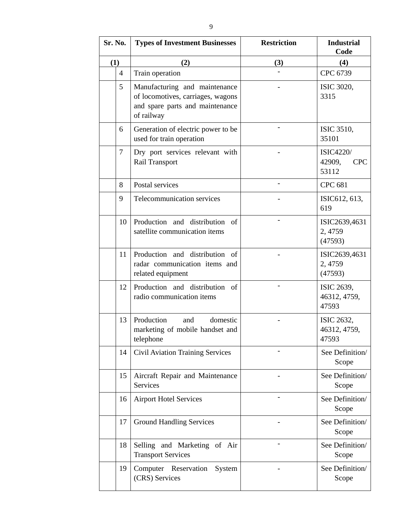| Sr. No. |    | <b>Types of Investment Businesses</b>                                                                               | <b>Restriction</b> | <b>Industrial</b><br>Code                         |
|---------|----|---------------------------------------------------------------------------------------------------------------------|--------------------|---------------------------------------------------|
| (1)     |    | (2)                                                                                                                 | (3)                | (4)                                               |
|         | 4  | Train operation                                                                                                     |                    | CPC 6739                                          |
|         | 5  | Manufacturing and maintenance<br>of locomotives, carriages, wagons<br>and spare parts and maintenance<br>of railway |                    | ISIC 3020,<br>3315                                |
|         | 6  | Generation of electric power to be<br>used for train operation                                                      |                    | <b>ISIC 3510,</b><br>35101                        |
|         | 7  | Dry port services relevant with<br><b>Rail Transport</b>                                                            |                    | <b>ISIC4220/</b><br>42909,<br><b>CPC</b><br>53112 |
|         | 8  | Postal services                                                                                                     |                    | <b>CPC 681</b>                                    |
|         | 9  | Telecommunication services                                                                                          |                    | ISIC612, 613,<br>619                              |
|         | 10 | Production and distribution of<br>satellite communication items                                                     |                    | ISIC2639,4631<br>2,4759<br>(47593)                |
|         | 11 | Production and distribution of<br>radar communication items and<br>related equipment                                |                    | ISIC2639,4631<br>2,4759<br>(47593)                |
|         | 12 | Production and distribution of<br>radio communication items                                                         |                    | ISIC 2639,<br>46312, 4759,<br>47593               |
|         | 13 | Production<br>and<br>domestic<br>marketing of mobile handset and<br>telephone                                       |                    | ISIC 2632,<br>46312, 4759,<br>47593               |
|         | 14 | <b>Civil Aviation Training Services</b>                                                                             |                    | See Definition/<br>Scope                          |
|         | 15 | Aircraft Repair and Maintenance<br>Services                                                                         |                    | See Definition/<br>Scope                          |
|         | 16 | <b>Airport Hotel Services</b>                                                                                       |                    | See Definition/<br>Scope                          |
|         | 17 | <b>Ground Handling Services</b>                                                                                     |                    | See Definition/<br>Scope                          |
|         | 18 | Selling and Marketing of Air<br><b>Transport Services</b>                                                           |                    | See Definition/<br>Scope                          |
|         | 19 | Computer Reservation<br>System<br>(CRS) Services                                                                    |                    | See Definition/<br>Scope                          |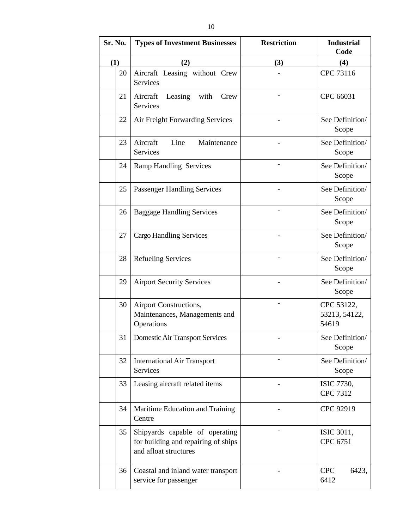| Sr. No. | <b>Types of Investment Businesses</b>                                                          | <b>Restriction</b> | <b>Industrial</b><br>Code            |
|---------|------------------------------------------------------------------------------------------------|--------------------|--------------------------------------|
| (1)     | (2)                                                                                            | (3)                | (4)                                  |
| 20      | Aircraft Leasing without Crew<br><b>Services</b>                                               |                    | CPC 73116                            |
| 21      | Aircraft<br>Leasing with<br>Crew<br><b>Services</b>                                            |                    | CPC 66031                            |
| 22      | Air Freight Forwarding Services                                                                |                    | See Definition/<br>Scope             |
| 23      | Aircraft<br>Line<br>Maintenance<br><b>Services</b>                                             |                    | See Definition/<br>Scope             |
| 24      | <b>Ramp Handling Services</b>                                                                  |                    | See Definition/<br>Scope             |
| 25      | <b>Passenger Handling Services</b>                                                             |                    | See Definition/<br>Scope             |
| 26      | <b>Baggage Handling Services</b>                                                               |                    | See Definition/<br>Scope             |
| 27      | <b>Cargo Handling Services</b>                                                                 |                    | See Definition/<br>Scope             |
| 28      | <b>Refueling Services</b>                                                                      |                    | See Definition/<br>Scope             |
| 29      | <b>Airport Security Services</b>                                                               |                    | See Definition/<br>Scope             |
| 30      | Airport Constructions,<br>Maintenances, Managements and<br>Operations                          |                    | CPC 53122,<br>53213, 54122,<br>54619 |
| 31      | Domestic Air Transport Services                                                                |                    | See Definition/<br>Scope             |
| 32      | <b>International Air Transport</b><br>Services                                                 |                    | See Definition/<br>Scope             |
| 33      | Leasing aircraft related items                                                                 |                    | ISIC 7730,<br><b>CPC 7312</b>        |
| 34      | Maritime Education and Training<br>Centre                                                      |                    | CPC 92919                            |
| 35      | Shipyards capable of operating<br>for building and repairing of ships<br>and afloat structures |                    | ISIC 3011,<br>CPC 6751               |
| 36      | Coastal and inland water transport<br>service for passenger                                    |                    | <b>CPC</b><br>6423,<br>6412          |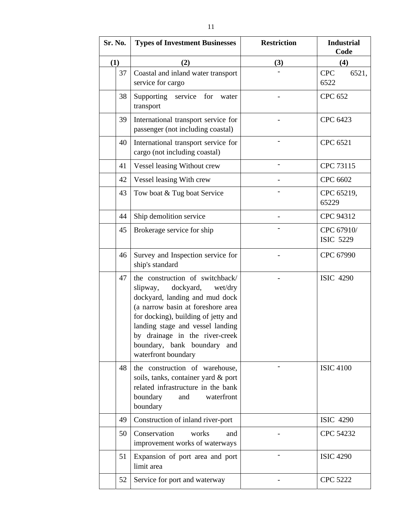| Sr. No. |    | <b>Types of Investment Businesses</b>                                                                                                                                                                                                                                                                         | <b>Restriction</b> | <b>Industrial</b><br>Code      |
|---------|----|---------------------------------------------------------------------------------------------------------------------------------------------------------------------------------------------------------------------------------------------------------------------------------------------------------------|--------------------|--------------------------------|
| (1)     |    | (2)                                                                                                                                                                                                                                                                                                           | (3)                | (4)                            |
|         | 37 | Coastal and inland water transport<br>service for cargo                                                                                                                                                                                                                                                       |                    | <b>CPC</b><br>6521,<br>6522    |
|         | 38 | Supporting service for<br>water<br>transport                                                                                                                                                                                                                                                                  |                    | <b>CPC 652</b>                 |
|         | 39 | International transport service for<br>passenger (not including coastal)                                                                                                                                                                                                                                      |                    | CPC 6423                       |
|         | 40 | International transport service for<br>cargo (not including coastal)                                                                                                                                                                                                                                          |                    | CPC 6521                       |
|         | 41 | Vessel leasing Without crew                                                                                                                                                                                                                                                                                   |                    | CPC 73115                      |
|         | 42 | Vessel leasing With crew                                                                                                                                                                                                                                                                                      |                    | CPC 6602                       |
|         | 43 | Tow boat & Tug boat Service                                                                                                                                                                                                                                                                                   |                    | CPC 65219,<br>65229            |
|         | 44 | Ship demolition service                                                                                                                                                                                                                                                                                       |                    | CPC 94312                      |
|         | 45 | Brokerage service for ship                                                                                                                                                                                                                                                                                    |                    | CPC 67910/<br><b>ISIC 5229</b> |
|         | 46 | Survey and Inspection service for<br>ship's standard                                                                                                                                                                                                                                                          |                    | CPC 67990                      |
|         | 47 | the construction of switchback/<br>dockyard,<br>slipway,<br>wet/dry<br>dockyard, landing and mud dock<br>(a narrow basin at foreshore area<br>for docking), building of jetty and<br>landing stage and vessel landing<br>by drainage in the river-creek<br>boundary, bank boundary and<br>waterfront boundary |                    | <b>ISIC 4290</b>               |
|         | 48 | the construction of warehouse,<br>soils, tanks, container yard & port<br>related infrastructure in the bank<br>boundary<br>and<br>waterfront<br>boundary                                                                                                                                                      |                    | <b>ISIC 4100</b>               |
|         | 49 | Construction of inland river-port                                                                                                                                                                                                                                                                             |                    | <b>ISIC 4290</b>               |
|         | 50 | Conservation<br>works<br>and<br>improvement works of waterways                                                                                                                                                                                                                                                |                    | CPC 54232                      |
|         | 51 | Expansion of port area and port<br>limit area                                                                                                                                                                                                                                                                 |                    | <b>ISIC 4290</b>               |
|         | 52 | Service for port and waterway                                                                                                                                                                                                                                                                                 |                    | <b>CPC 5222</b>                |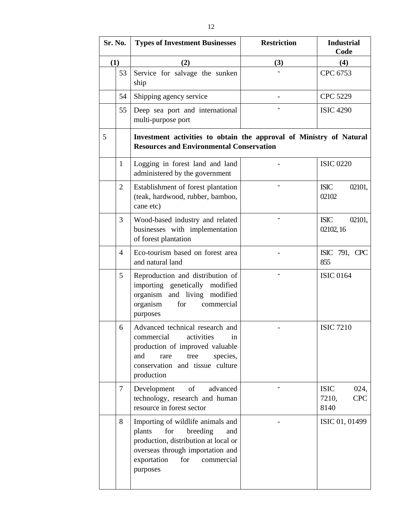| Sr. No. |                | <b>Types of Investment Businesses</b>                                                                                                                                                             | <b>Restriction</b> | <b>Industrial</b><br>Code                          |
|---------|----------------|---------------------------------------------------------------------------------------------------------------------------------------------------------------------------------------------------|--------------------|----------------------------------------------------|
| (1)     |                | (2)                                                                                                                                                                                               | (3)                | (4)                                                |
|         | 53             | Service for salvage the sunken<br>ship                                                                                                                                                            |                    | CPC 6753                                           |
|         | 54             | Shipping agency service                                                                                                                                                                           |                    | <b>CPC 5229</b>                                    |
|         | 55             | Deep sea port and international<br>multi-purpose port                                                                                                                                             |                    | <b>ISIC 4290</b>                                   |
| 5       |                | Investment activities to obtain the approval of Ministry of Natural<br><b>Resources and Environmental Conservation</b>                                                                            |                    |                                                    |
|         | 1              | Logging in forest land and land<br>administered by the government                                                                                                                                 |                    | <b>ISIC 0220</b>                                   |
|         | $\overline{2}$ | Establishment of forest plantation<br>(teak, hardwood, rubber, bamboo,<br>cane etc)                                                                                                               |                    | <b>ISIC</b><br>02101,<br>02102                     |
|         | 3              | Wood-based industry and related<br>businesses with implementation<br>of forest plantation                                                                                                         |                    | <b>ISIC</b><br>02101,<br>02102, 16                 |
|         | $\overline{4}$ | Eco-tourism based on forest area<br>and natural land                                                                                                                                              |                    | ISIC 791, CPC<br>855                               |
|         | 5              | Reproduction and distribution of<br>importing genetically modified<br>organism and living modified<br>organism<br>for<br>commercial<br>purposes                                                   |                    | <b>ISIC 0164</b>                                   |
|         | 6              | Advanced technical research and<br>commercial activities<br>in<br>production of improved valuable<br>and<br>tree<br>species,<br>rare<br>conservation and tissue culture<br>production             |                    | <b>ISIC 7210</b>                                   |
|         | $\overline{7}$ | Development<br>of<br>advanced<br>technology, research and human<br>resource in forest sector                                                                                                      |                    | <b>ISIC</b><br>024,<br>7210,<br><b>CPC</b><br>8140 |
|         | 8              | Importing of wildlife animals and<br>for<br>breeding<br>plants<br>and<br>production, distribution at local or<br>overseas through importation and<br>exportation<br>for<br>commercial<br>purposes |                    | ISIC 01, 01499                                     |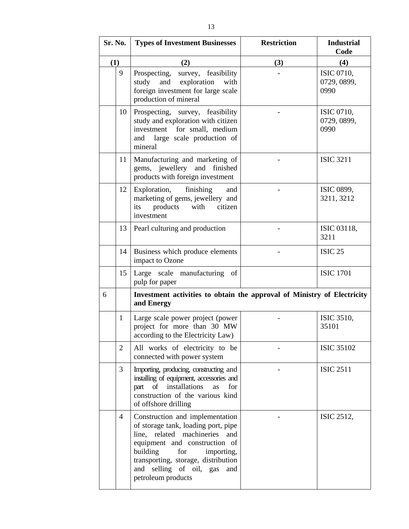| Sr. No. |                | <b>Types of Investment Businesses</b>                                                                                                                                                                                                                                       | <b>Restriction</b> | <b>Industrial</b><br>Code                |
|---------|----------------|-----------------------------------------------------------------------------------------------------------------------------------------------------------------------------------------------------------------------------------------------------------------------------|--------------------|------------------------------------------|
| (1)     |                | (2)                                                                                                                                                                                                                                                                         | (3)                | (4)                                      |
|         | 9              | survey, feasibility<br>Prospecting,<br>and exploration<br>study<br>with<br>foreign investment for large scale<br>production of mineral                                                                                                                                      |                    | ISIC 0710,<br>0729, 0899,<br>0990        |
|         | 10             | Prospecting, survey, feasibility<br>study and exploration with citizen<br>for small, medium<br>investment<br>large scale production of<br>and<br>mineral                                                                                                                    |                    | <b>ISIC 0710,</b><br>0729, 0899,<br>0990 |
|         | 11             | Manufacturing and marketing of<br>gems, jewellery and finished<br>products with foreign investment                                                                                                                                                                          |                    | <b>ISIC 3211</b>                         |
|         | 12             | finishing<br>Exploration,<br>and<br>marketing of gems, jewellery and<br>products<br>with<br>citizen<br>its<br>investment                                                                                                                                                    |                    | ISIC 0899,<br>3211, 3212                 |
|         | 13             | Pearl culturing and production                                                                                                                                                                                                                                              |                    | ISIC 03118,<br>3211                      |
|         | 14             | Business which produce elements<br>impact to Ozone                                                                                                                                                                                                                          |                    | <b>ISIC 25</b>                           |
|         | 15             | Large scale manufacturing of<br>pulp for paper                                                                                                                                                                                                                              |                    | <b>ISIC 1701</b>                         |
| 6       |                | Investment activities to obtain the approval of Ministry of Electricity<br>and Energy                                                                                                                                                                                       |                    |                                          |
|         | 1              | Large scale power project (power<br>project for more than 30 MW<br>according to the Electricity Law)                                                                                                                                                                        |                    | ISIC 3510,<br>35101                      |
|         | $\overline{2}$ | All works of electricity to be<br>connected with power system                                                                                                                                                                                                               |                    | <b>ISIC 35102</b>                        |
|         | 3              | Importing, producing, constructing and<br>installing of equipment, accessories and<br>installations<br>of<br>for<br>part<br>as<br>construction of the various kind<br>of offshore drilling                                                                                  |                    | <b>ISIC 2511</b>                         |
|         | 4              | Construction and implementation<br>of storage tank, loading port, pipe<br>line, related machineries<br>and<br>equipment and construction of<br>building<br>for<br>importing,<br>transporting, storage, distribution<br>and selling of oil, gas<br>and<br>petroleum products |                    | ISIC 2512,                               |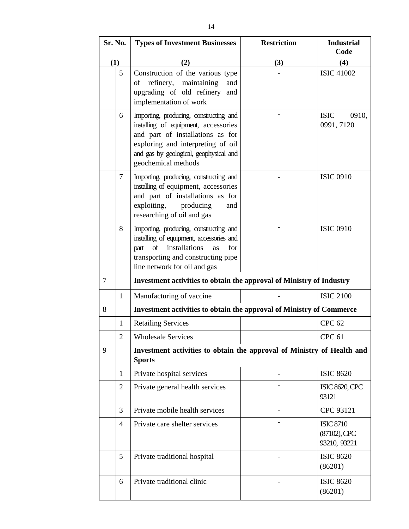| Sr. No.        |                | <b>Types of Investment Businesses</b>                                                                                                                                                                                    | <b>Restriction</b> | <b>Industrial</b><br>Code                           |
|----------------|----------------|--------------------------------------------------------------------------------------------------------------------------------------------------------------------------------------------------------------------------|--------------------|-----------------------------------------------------|
| (1)            |                | (2)                                                                                                                                                                                                                      | (3)                | (4)                                                 |
|                | 5              | Construction of the various type<br>refinery, maintaining<br>of<br>and<br>upgrading of old refinery<br>and<br>implementation of work                                                                                     |                    | <b>ISIC 41002</b>                                   |
|                | 6              | Importing, producing, constructing and<br>installing of equipment, accessories<br>and part of installations as for<br>exploring and interpreting of oil<br>and gas by geological, geophysical and<br>geochemical methods |                    | <b>ISIC</b><br>0910,<br>0991, 7120                  |
|                | 7              | Importing, producing, constructing and<br>installing of equipment, accessories<br>and part of installations as for<br>exploiting,<br>producing<br>and<br>researching of oil and gas                                      |                    | <b>ISIC 0910</b>                                    |
|                | 8              | Importing, producing, constructing and<br>installing of equipment, accessories and<br>part of installations<br>for<br>as<br>transporting and constructing pipe<br>line network for oil and gas                           |                    | <b>ISIC 0910</b>                                    |
| $\overline{7}$ |                | Investment activities to obtain the approval of Ministry of Industry                                                                                                                                                     |                    |                                                     |
|                | 1              | Manufacturing of vaccine                                                                                                                                                                                                 |                    | <b>ISIC 2100</b>                                    |
| 8              |                | Investment activities to obtain the approval of Ministry of Commerce                                                                                                                                                     |                    |                                                     |
|                | $\mathbf{1}$   | <b>Retailing Services</b>                                                                                                                                                                                                |                    | <b>CPC 62</b>                                       |
|                | $\overline{2}$ | <b>Wholesale Services</b>                                                                                                                                                                                                |                    | <b>CPC 61</b>                                       |
| 9              |                | Investment activities to obtain the approval of Ministry of Health and<br><b>Sports</b>                                                                                                                                  |                    |                                                     |
|                | $\mathbf{1}$   | Private hospital services                                                                                                                                                                                                |                    | <b>ISIC 8620</b>                                    |
|                | $\overline{2}$ | Private general health services                                                                                                                                                                                          |                    | <b>ISIC 8620, CPC</b><br>93121                      |
|                | 3              | Private mobile health services                                                                                                                                                                                           |                    | CPC 93121                                           |
|                | $\overline{4}$ | Private care shelter services                                                                                                                                                                                            |                    | <b>ISIC 8710</b><br>$(87102)$ , CPC<br>93210, 93221 |
|                | 5              | Private traditional hospital                                                                                                                                                                                             |                    | <b>ISIC 8620</b><br>(86201)                         |
|                | 6              | Private traditional clinic                                                                                                                                                                                               |                    | <b>ISIC 8620</b><br>(86201)                         |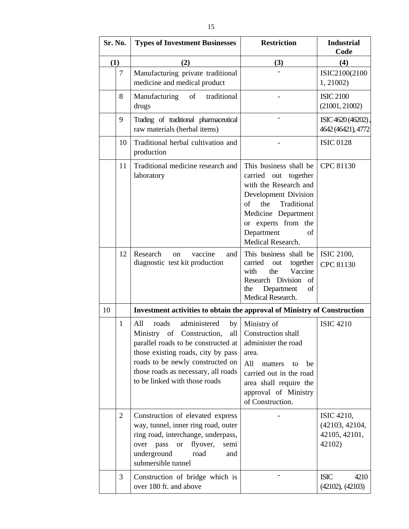| Sr. No. |                | <b>Types of Investment Businesses</b>                                                                                                                                                                                                                          | <b>Restriction</b>                                                                                                                                                                                                 | <b>Industrial</b><br>Code                               |
|---------|----------------|----------------------------------------------------------------------------------------------------------------------------------------------------------------------------------------------------------------------------------------------------------------|--------------------------------------------------------------------------------------------------------------------------------------------------------------------------------------------------------------------|---------------------------------------------------------|
| (1)     |                | (2)                                                                                                                                                                                                                                                            | (3)                                                                                                                                                                                                                | (4)                                                     |
|         | 7              | Manufacturing private traditional<br>medicine and medical product                                                                                                                                                                                              |                                                                                                                                                                                                                    | ISIC2100(2100<br>1, 21002)                              |
|         | 8              | Manufacturing<br>of<br>traditional<br>drugs                                                                                                                                                                                                                    |                                                                                                                                                                                                                    | <b>ISIC 2100</b><br>(21001, 21002)                      |
|         | 9              | Trading of traditional pharmaceutical<br>raw materials (herbal items)                                                                                                                                                                                          |                                                                                                                                                                                                                    | ISIC 4620 (46202)<br>4642 (46421), 4772                 |
|         | 10             | Traditional herbal cultivation and<br>production                                                                                                                                                                                                               |                                                                                                                                                                                                                    | <b>ISIC 0128</b>                                        |
|         | 11             | Traditional medicine research and<br>laboratory                                                                                                                                                                                                                | This business shall be<br>carried out together<br>with the Research and<br>Development Division<br>of<br>the<br>Traditional<br>Medicine Department<br>or experts from the<br>Department<br>of<br>Medical Research. | CPC 81130                                               |
|         | 12             | Research<br>vaccine<br>on<br>and<br>diagnostic test kit production                                                                                                                                                                                             | This business shall be<br>carried<br>together<br>out<br>Vaccine<br>with<br>the<br>Research Division<br>of<br>Department<br>of<br>the<br>Medical Research.                                                          | <b>ISIC 2100,</b><br>CPC 81130                          |
| 10      |                | Investment activities to obtain the approval of Ministry of Construction                                                                                                                                                                                       |                                                                                                                                                                                                                    |                                                         |
|         | $\mathbf{1}$   | administered<br>All<br>roads<br>by<br>Ministry<br>of<br>Construction,<br>parallel roads to be constructed at<br>those existing roads, city by pass<br>roads to be newly constructed on<br>those roads as necessary, all roads<br>to be linked with those roads | Ministry of<br>all Construction shall<br>administer the road<br>area.<br>All<br>matters<br>be<br>to<br>carried out in the road<br>area shall require the<br>approval of Ministry<br>of Construction.               | <b>ISIC 4210</b>                                        |
|         | $\overline{2}$ | Construction of elevated express<br>way, tunnel, inner ring road, outer<br>ring road, interchange, underpass,<br>pass<br>flyover,<br>over<br>semi<br><b>or</b><br>underground<br>road<br>and<br>submersible tunnel                                             |                                                                                                                                                                                                                    | ISIC 4210,<br>(42103, 42104,<br>42105, 42101,<br>42102) |
|         | 3              | Construction of bridge which is<br>over 180 ft. and above                                                                                                                                                                                                      |                                                                                                                                                                                                                    | <b>ISIC</b><br>4210<br>(42102), (42103)                 |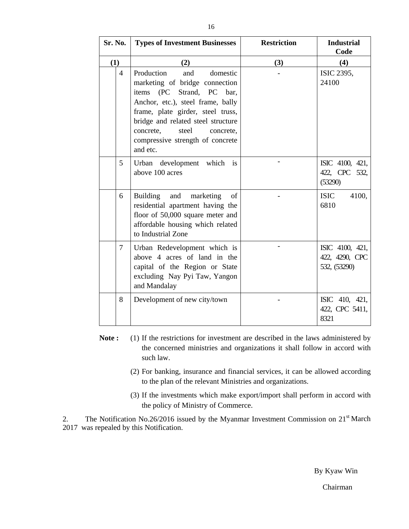| Sr. No.        | <b>Types of Investment Businesses</b>                                                                                                                                                                                                                                                                     | <b>Restriction</b> | <b>Industrial</b><br>Code                         |
|----------------|-----------------------------------------------------------------------------------------------------------------------------------------------------------------------------------------------------------------------------------------------------------------------------------------------------------|--------------------|---------------------------------------------------|
| (1)            | (2)                                                                                                                                                                                                                                                                                                       | (3)                | (4)                                               |
| $\overline{4}$ | Production<br>domestic<br>and<br>marketing of bridge connection<br>Strand, PC<br>items<br>(PC)<br>bar,<br>Anchor, etc.), steel frame, bally<br>frame, plate girder, steel truss,<br>bridge and related steel structure<br>concrete,<br>steel<br>concrete,<br>compressive strength of concrete<br>and etc. |                    | ISIC 2395,<br>24100                               |
| 5              | Urban development which<br>is<br>above 100 acres                                                                                                                                                                                                                                                          |                    | ISIC 4100, 421,<br>422, CPC 532,<br>(53290)       |
| 6              | <b>Building</b><br>and<br>marketing<br>of<br>residential apartment having the<br>floor of 50,000 square meter and<br>affordable housing which related<br>to Industrial Zone                                                                                                                               |                    | <b>ISIC</b><br>4100,<br>6810                      |
| 7              | Urban Redevelopment which is<br>above 4 acres of land in the<br>capital of the Region or State<br>excluding Nay Pyi Taw, Yangon<br>and Mandalay                                                                                                                                                           |                    | ISIC 4100, 421,<br>422, 4290, CPC<br>532, (53290) |
| 8              | Development of new city/town                                                                                                                                                                                                                                                                              |                    | ISIC 410, 421,<br>422, CPC 5411,<br>8321          |

- **Note :** (1) If the restrictions for investment are described in the laws administered by the concerned ministries and organizations it shall follow in accord with such law.
	- (2) For banking, insurance and financial services, it can be allowed according to the plan of the relevant Ministries and organizations.
	- (3) If the investments which make export/import shall perform in accord with the policy of Ministry of Commerce.

2. The Notification No.26/2016 issued by the Myanmar Investment Commission on  $21<sup>st</sup>$  March 2017 was repealed by this Notification.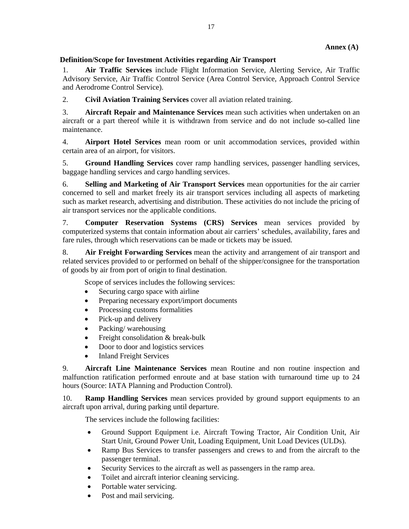## **Definition/Scope for Investment Activities regarding Air Transport**

1. **Air Traffic Services** include Flight Information Service, Alerting Service, Air Traffic Advisory Service, Air Traffic Control Service (Area Control Service, Approach Control Service and Aerodrome Control Service).

2. **Civil Aviation Training Services** cover all aviation related training.

3. **Aircraft Repair and Maintenance Services** mean such activities when undertaken on an aircraft or a part thereof while it is withdrawn from service and do not include so-called line maintenance.

4. **Airport Hotel Services** mean room or unit accommodation services, provided within certain area of an airport, for visitors.

5. **Ground Handling Services** cover ramp handling services, passenger handling services, baggage handling services and cargo handling services.

6. **Selling and Marketing of Air Transport Services** mean opportunities for the air carrier concerned to sell and market freely its air transport services including all aspects of marketing such as market research, advertising and distribution. These activities do not include the pricing of air transport services nor the applicable conditions.

7. **Computer Reservation Systems (CRS) Services** mean services provided by computerized systems that contain information about air carriers' schedules, availability, fares and fare rules, through which reservations can be made or tickets may be issued.

8. **Air Freight Forwarding Services** mean the activity and arrangement of air transport and related services provided to or performed on behalf of the shipper/consignee for the transportation of goods by air from port of origin to final destination.

Scope of services includes the following services:

- Securing cargo space with airline
- Preparing necessary export/import documents
- Processing customs formalities
- Pick-up and delivery
- Packing/warehousing
- Freight consolidation & break-bulk
- Door to door and logistics services
- Inland Freight Services

9. **Aircraft Line Maintenance Services** mean Routine and non routine inspection and malfunction ratification performed enroute and at base station with turnaround time up to 24 hours (Source: IATA Planning and Production Control).

10. **Ramp Handling Services** mean services provided by ground support equipments to an aircraft upon arrival, during parking until departure.

The services include the following facilities:

- Ground Support Equipment i.e. Aircraft Towing Tractor, Air Condition Unit, Air Start Unit, Ground Power Unit, Loading Equipment, Unit Load Devices (ULDs).
- Ramp Bus Services to transfer passengers and crews to and from the aircraft to the passenger terminal.
- Security Services to the aircraft as well as passengers in the ramp area.
- Toilet and aircraft interior cleaning servicing.
- Portable water servicing.
- Post and mail servicing.